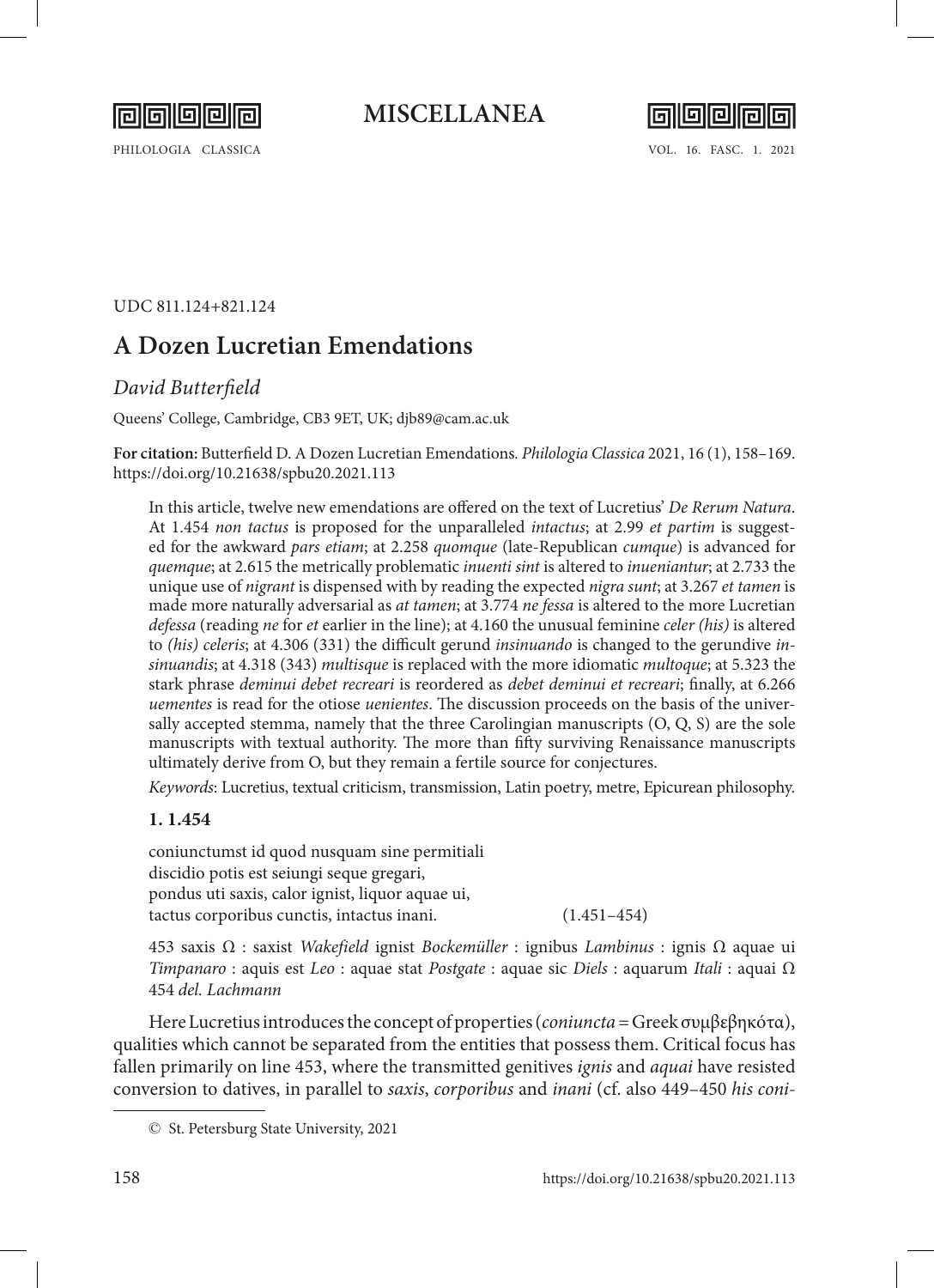

**MISCELLANEA**



UDC 811.124+821.124

# **A Dozen Lucretian Emendations**

# *David Butterfield*

Queens' College, Cambridge, CB3 9ET, UK; djb89@cam.ac.uk

**For citation:** Butterfield D. A Dozen Lucretian Emendations*. Philologia Classica* 2021, 16 (1), 158–169. <https://doi.org/10.21638/spbu20.2021.113>

In this article, twelve new emendations are offered on the text of Lucretius' *De Rerum Natura*. At 1.454 *non tactus* is proposed for the unparalleled *intactus*; at 2.99 *et partim* is suggested for the awkward *pars etiam*; at 2.258 *quomque* (late-Republican *cumque*) is advanced for *quemque*; at 2.615 the metrically problematic *inuenti sint* is altered to *inueniantur*; at 2.733 the unique use of *nigrant* is dispensed with by reading the expected *nigra sunt*; at 3.267 *et tamen* is made more naturally adversarial as *at tamen*; at 3.774 *ne fessa* is altered to the more Lucretian *defessa* (reading *ne* for *et* earlier in the line); at 4.160 the unusual feminine *celer (his)* is altered to *(his) celeris*; at 4.306 (331) the difficult gerund *insinuando* is changed to the gerundive *insinuandis*; at 4.318 (343) *multisque* is replaced with the more idiomatic *multoque*; at 5.323 the stark phrase *deminui debet recreari* is reordered as *debet deminui et recreari*; finally, at 6.266 *uementes* is read for the otiose *uenientes*. The discussion proceeds on the basis of the universally accepted stemma, namely that the three Carolingian manuscripts (O, Q, S) are the sole manuscripts with textual authority. The more than fifty surviving Renaissance manuscripts ultimately derive from O, but they remain a fertile source for conjectures.

*Keywords*: Lucretius, textual criticism, transmission, Latin poetry, metre, Epicurean philosophy.

# **1. 1.454**

coniunctumst id quod nusquam sine permitiali discidio potis est seiungi seque gregari, pondus uti saxis, calor ignist, liquor aquae ui, tactus corporibus cunctis, intactus inani. (1.451–454)

453 saxis Ω : saxist *Wakefield* ignist *Bockemüller* : ignibus *Lambinus* : ignis Ω aquae ui *Timpanaro* : aquis est *Leo* : aquae stat *Postgate* : aquae sic *Diels* : aquarum *Itali* : aquai Ω 454 *del. Lachmann*

Here Lucretius introduces the concept of properties (*coniuncta=*Greek συμβεβηκότα), qualities which cannot be separated from the entities that possess them. Critical focus has fallen primarily on line 453, where the transmitted genitives *ignis* and *aquai* have resisted conversion to datives, in parallel to *saxis*, *corporibus* and *inani* (cf. also 449–450 *his coni-*

<sup>©</sup> St. Petersburg State University, 2021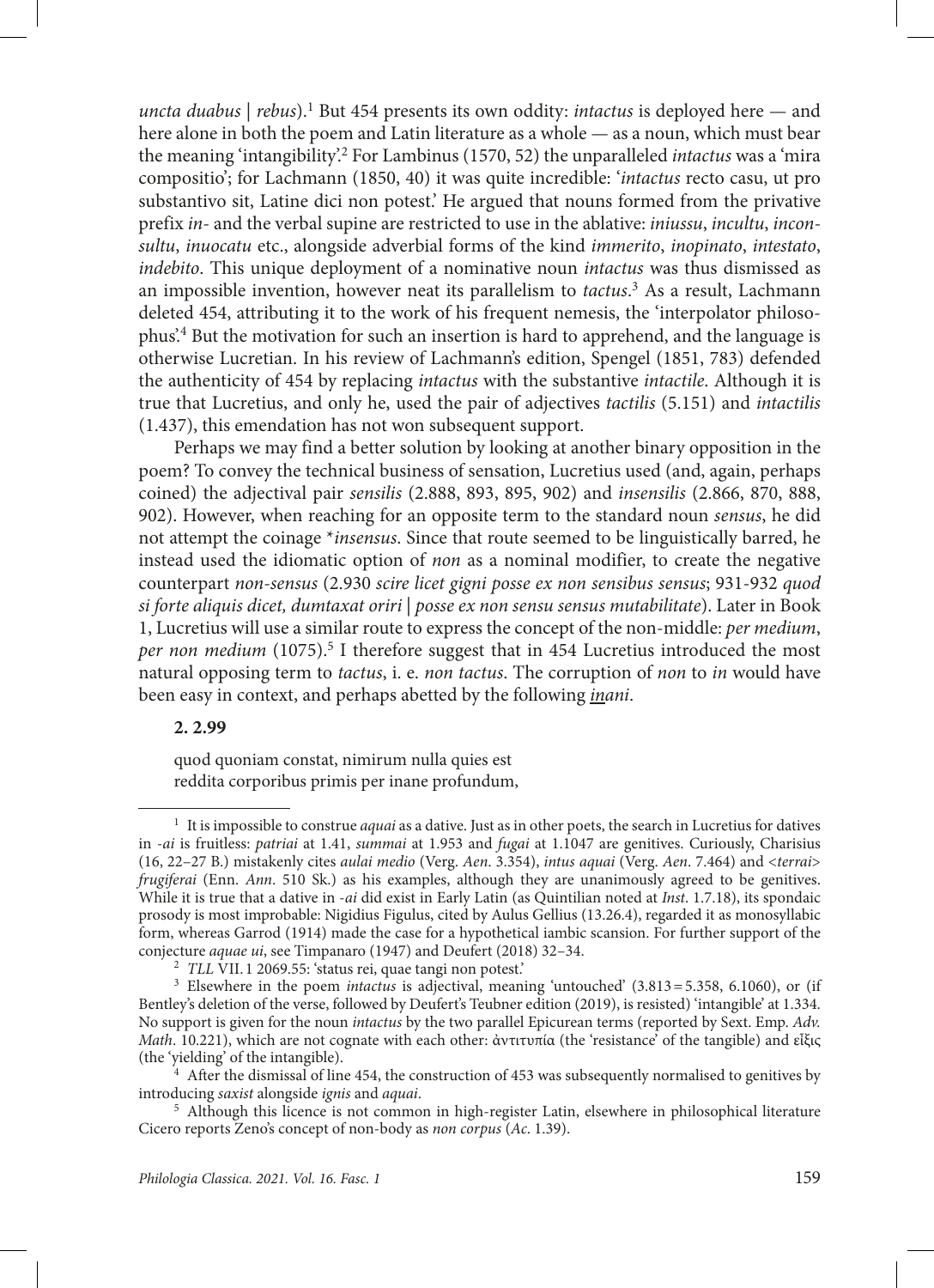*uncta duabus* | *rebus*).<sup>1</sup> But 454 presents its own oddity: *intactus* is deployed here — and here alone in both the poem and Latin literature as a whole — as a noun, which must bear the meaning 'intangibility'.<sup>2</sup> For Lambinus (1570, 52) the unparalleled *intactus* was a 'mira compositio'; for Lachmann (1850, 40) it was quite incredible: '*intactus* recto casu, ut pro substantivo sit, Latine dici non potest.' He argued that nouns formed from the privative prefix *in*- and the verbal supine are restricted to use in the ablative: *iniussu*, *incultu*, *inconsultu*, *inuocatu* etc., alongside adverbial forms of the kind *immerito*, *inopinato*, *intestato*, *indebito*. This unique deployment of a nominative noun *intactus* was thus dismissed as an impossible invention, however neat its parallelism to *tactus*. 3 As a result, Lachmann deleted 454, attributing it to the work of his frequent nemesis, the 'interpolator philosophus'.4 But the motivation for such an insertion is hard to apprehend, and the language is otherwise Lucretian. In his review of Lachmann's edition, Spengel (1851, 783) defended the authenticity of 454 by replacing *intactus* with the substantive *intactile*. Although it is true that Lucretius, and only he, used the pair of adjectives *tactilis* (5.151) and *intactilis* (1.437), this emendation has not won subsequent support.

Perhaps we may find a better solution by looking at another binary opposition in the poem? To convey the technical business of sensation, Lucretius used (and, again, perhaps coined) the adjectival pair *sensilis* (2.888, 893, 895, 902) and *insensilis* (2.866, 870, 888, 902). However, when reaching for an opposite term to the standard noun *sensus*, he did not attempt the coinage \**insensus*. Since that route seemed to be linguistically barred, he instead used the idiomatic option of *non* as a nominal modifier, to create the negative counterpart *non-sensus* (2.930 *scire licet gigni posse ex non sensibus sensus*; 931-932 *quod si forte aliquis dicet, dumtaxat oriri* | *posse ex non sensu sensus mutabilitate*). Later in Book 1, Lucretius will use a similar route to express the concept of the non-middle: *per medium*, per non medium (1075).<sup>5</sup> I therefore suggest that in 454 Lucretius introduced the most natural opposing term to *tactus*, i. e. *non tactus*. The corruption of *non* to *in* would have been easy in context, and perhaps abetted by the following *inani*.

#### **2. 2.99**

quod quoniam constat, nimirum nulla quies est reddita corporibus primis per inane profundum,

<sup>1</sup> It is impossible to construe *aquai* as a dative. Just as in other poets, the search in Lucretius for datives in -*ai* is fruitless: *patriai* at 1.41, *summai* at 1.953 and *fugai* at 1.1047 are genitives. Curiously, Charisius (16, 22–27 B.) mistakenly cites *aulai medio* (Verg. *Aen*. 3.354), *intus aquai* (Verg. *Aen*. 7.464) and <*terrai*> *frugiferai* (Enn. *Ann*. 510 Sk.) as his examples, although they are unanimously agreed to be genitives. While it is true that a dative in -*ai* did exist in Early Latin (as Quintilian noted at *Inst*. 1.7.18), its spondaic prosody is most improbable: Nigidius Figulus, cited by Aulus Gellius (13.26.4), regarded it as monosyllabic form, whereas Garrod (1914) made the case for a hypothetical iambic scansion. For further support of the conjecture *aquae ui*, see Timpanaro (1947) and Deufert (2018) 32–34.

<sup>2</sup> *TLL* VII. 1 2069.55: 'status rei, quae tangi non potest.'

<sup>&</sup>lt;sup>3</sup> Elsewhere in the poem *intactus* is adjectival, meaning 'untouched' (3.813=5.358, 6.1060), or (if Bentley's deletion of the verse, followed by Deufert's Teubner edition (2019), is resisted) 'intangible' at 1.334. No support is given for the noun *intactus* by the two parallel Epicurean terms (reported by Sext. Emp. *Adv. Math*. 10.221), which are not cognate with each other: ἀντιτυπία (the 'resistance' of the tangible) and εἶξις (the 'yielding' of the intangible).

 $4$  After the dismissal of line 454, the construction of 453 was subsequently normalised to genitives by introducing *saxist* alongside *ignis* and *aquai*.

<sup>&</sup>lt;sup>5</sup> Although this licence is not common in high-register Latin, elsewhere in philosophical literature Cicero reports Zeno's concept of non-body as *non corpus* (*Ac*. 1.39).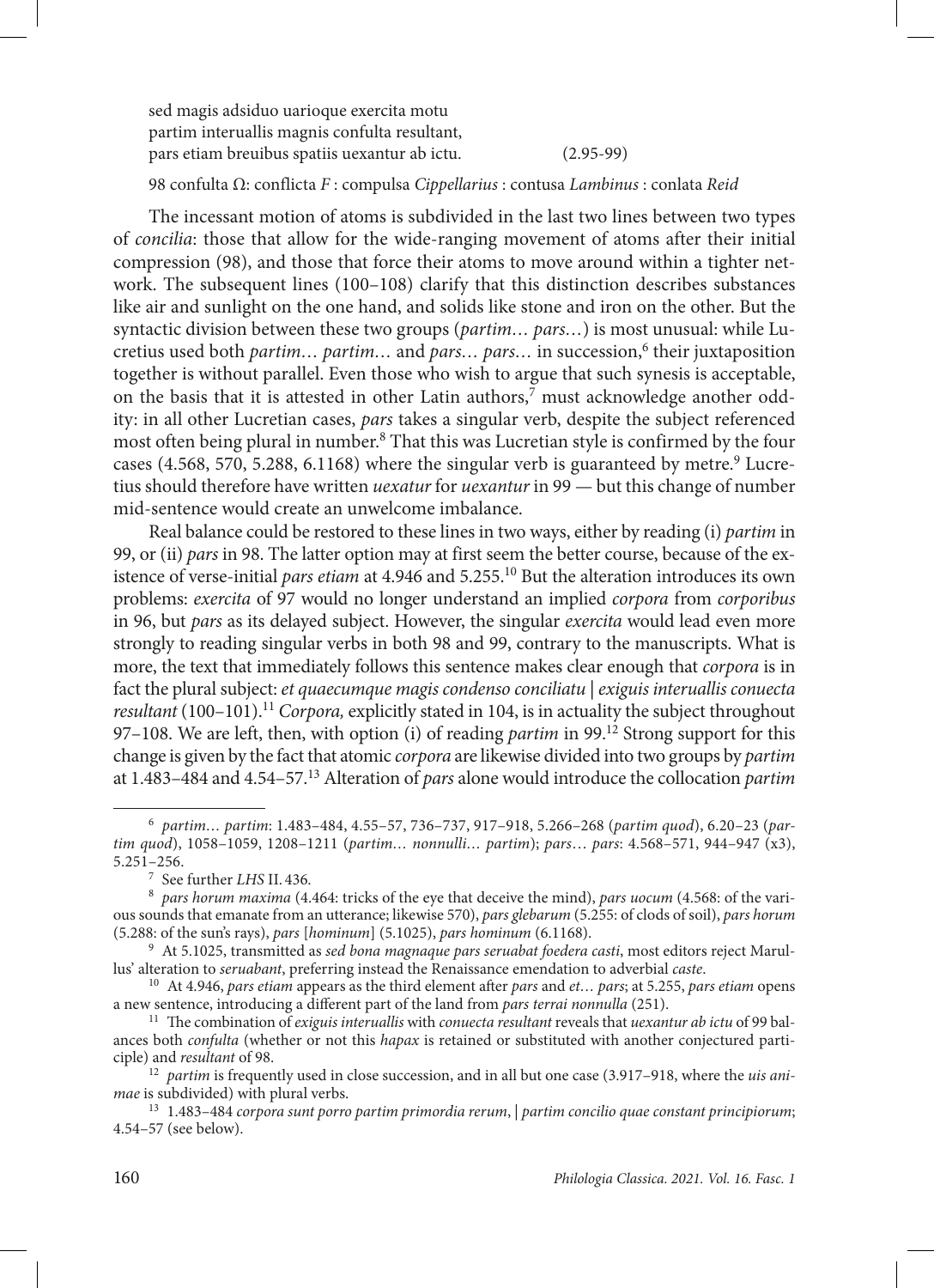sed magis adsiduo uarioque exercita motu partim interuallis magnis confulta resultant, pars etiam breuibus spatiis uexantur ab ictu. (2.95-99)

98 confulta Ω: conflicta *F* : compulsa *Cippellarius* : contusa *Lambinus* : conlata *Reid*

The incessant motion of atoms is subdivided in the last two lines between two types of *concilia*: those that allow for the wide-ranging movement of atoms after their initial compression (98), and those that force their atoms to move around within a tighter network. The subsequent lines (100–108) clarify that this distinction describes substances like air and sunlight on the one hand, and solids like stone and iron on the other. But the syntactic division between these two groups (*partim… pars…*) is most unusual: while Lucretius used both *partim... partim...* and *pars... pars...* in succession,<sup>6</sup> their juxtaposition together is without parallel. Even those who wish to argue that such synesis is acceptable, on the basis that it is attested in other Latin authors,<sup>7</sup> must acknowledge another oddity: in all other Lucretian cases, *pars* takes a singular verb, despite the subject referenced most often being plural in number.<sup>8</sup> That this was Lucretian style is confirmed by the four cases (4.568, 570, 5.288, 6.1168) where the singular verb is guaranteed by metre.<sup>9</sup> Lucretius should therefore have written *uexatur* for *uexantur* in 99 — but this change of number mid-sentence would create an unwelcome imbalance.

Real balance could be restored to these lines in two ways, either by reading (i) *partim* in 99, or (ii) *pars* in 98. The latter option may at first seem the better course, because of the existence of verse-initial *pars etiam* at 4.946 and 5.255.10 But the alteration introduces its own problems: *exercita* of 97 would no longer understand an implied *corpora* from *corporibus* in 96, but *pars* as its delayed subject. However, the singular *exercita* would lead even more strongly to reading singular verbs in both 98 and 99, contrary to the manuscripts. What is more, the text that immediately follows this sentence makes clear enough that *corpora* is in fact the plural subject: *et quaecumque magis condenso conciliatu* | *exiguis interuallis conuecta resultant* (100–101).<sup>11</sup> *Corpora*, explicitly stated in 104, is in actuality the subject throughout 97–108. We are left, then, with option (i) of reading *partim* in 99.<sup>12</sup> Strong support for this change is given by the fact that atomic *corpora* are likewise divided into two groups by *partim* at 1.483–484 and 4.54–57.13 Alteration of *pars* alone would introduce the collocation *partim* 

<sup>6</sup> *partim… partim*: 1.483–484, 4.55–57, 736–737, 917–918, 5.266–268 (*partim quod*), 6.20–23 (*partim quod*), 1058–1059, 1208–1211 (*partim… nonnulli… partim*); *pars*… *pars*: 4.568–571, 944–947 (x3), 5.251–256.

<sup>7</sup> See further *LHS* II. 436.

<sup>8</sup> *pars horum maxima* (4.464: tricks of the eye that deceive the mind), *pars uocum* (4.568: of the various sounds that emanate from an utterance; likewise 570), *pars glebarum* (5.255: of clods of soil), *pars horum*

<sup>(5.288:</sup> of the sun's rays), *pars* [*hominum*] (5.1025), *pars hominum* (6.1168). 9 At 5.1025, transmitted as *sed bona magnaque pars seruabat foedera casti*, most editors reject Marullus' alteration to *seruabant*, preferring instead the Renaissance emendation to adverbial *caste*.

<sup>10</sup> At 4.946, *pars etiam* appears as the third element after *pars* and *et… pars*; at 5.255, *pars etiam* opens a new sentence, introducing a different part of the land from *pars terrai nonnulla* (251).

<sup>11</sup> The combination of *exiguis interuallis* with *conuecta resultant* reveals that *uexantur ab ictu* of 99 balances both *confulta* (whether or not this *hapax* is retained or substituted with another conjectured participle) and *resultant* of 98.

<sup>12</sup> *partim* is frequently used in close succession, and in all but one case (3.917–918, where the *uis animae* is subdivided) with plural verbs.

<sup>13</sup> 1.483–484 *corpora sunt porro partim primordia rerum*, | *partim concilio quae constant principiorum*; 4.54–57 (see below).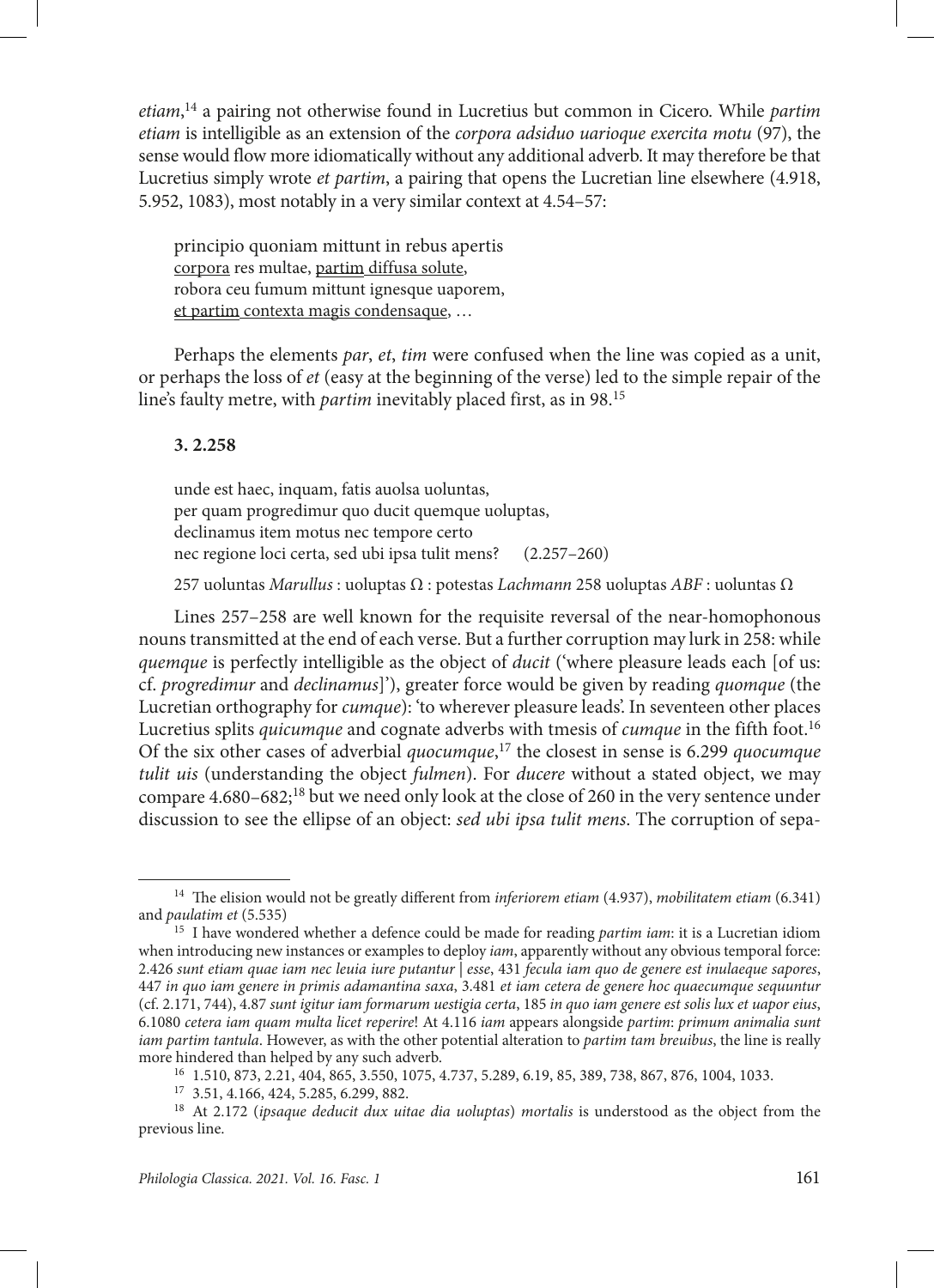*etiam*, 14 a pairing not otherwise found in Lucretius but common in Cicero. While *partim etiam* is intelligible as an extension of the *corpora adsiduo uarioque exercita motu* (97), the sense would flow more idiomatically without any additional adverb. It may therefore be that Lucretius simply wrote *et partim*, a pairing that opens the Lucretian line elsewhere (4.918, 5.952, 1083), most notably in a very similar context at 4.54–57:

principio quoniam mittunt in rebus apertis corpora res multae, partim diffusa solute, robora ceu fumum mittunt ignesque uaporem, et partim contexta magis condensaque, …

Perhaps the elements *par*, *et*, *tim* were confused when the line was copied as a unit, or perhaps the loss of *et* (easy at the beginning of the verse) led to the simple repair of the line's faulty metre, with *partim* inevitably placed first, as in 98.15

#### **3. 2.258**

unde est haec, inquam, fatis auolsa uoluntas, per quam progredimur quo ducit quemque uoluptas, declinamus item motus nec tempore certo nec regione loci certa, sed ubi ipsa tulit mens? (2.257–260)

257 uoluntas *Marullus* : uoluptas Ω : potestas *Lachmann* 258 uoluptas *ABF* : uoluntas Ω

Lines 257–258 are well known for the requisite reversal of the near-homophonous nouns transmitted at the end of each verse. But a further corruption may lurk in 258: while *quemque* is perfectly intelligible as the object of *ducit* ('where pleasure leads each [of us: cf. *progredimur* and *declinamus*]'), greater force would be given by reading *quomque* (the Lucretian orthography for *cumque*): 'to wherever pleasure leads'. In seventeen other places Lucretius splits *quicumque* and cognate adverbs with tmesis of *cumque* in the fifth foot.16 Of the six other cases of adverbial *quocumque*, 17 the closest in sense is 6.299 *quocumque tulit uis* (understanding the object *fulmen*). For *ducere* without a stated object, we may compare  $4.680-682$ ;<sup>18</sup> but we need only look at the close of 260 in the very sentence under discussion to see the ellipse of an object: *sed ubi ipsa tulit mens*. The corruption of sepa-

<sup>14</sup> The elision would not be greatly different from *inferiorem etiam* (4.937), *mobilitatem etiam* (6.341) and *paulatim et* (5.535)

<sup>15</sup> I have wondered whether a defence could be made for reading *partim iam*: it is a Lucretian idiom when introducing new instances or examples to deploy *iam*, apparently without any obvious temporal force: 2.426 *sunt etiam quae iam nec leuia iure putantur | esse*, 431 *fecula iam quo de genere est inulaeque sapores*, 447 *in quo iam genere in primis adamantina saxa*, 3.481 *et iam cetera de genere hoc quaecumque sequuntur*  (cf. 2.171, 744), 4.87 *sunt igitur iam formarum uestigia certa*, 185 *in quo iam genere est solis lux et uapor eius*, 6.1080 *cetera iam quam multa licet reperire*! At 4.116 *iam* appears alongside *partim*: *primum animalia sunt iam partim tantula*. However, as with the other potential alteration to *partim tam breuibus*, the line is really more hindered than helped by any such adverb.

<sup>16</sup> 1.510, 873, 2.21, 404, 865, 3.550, 1075, 4.737, 5.289, 6.19, 85, 389, 738, 867, 876, 1004, 1033.

<sup>17</sup> 3.51, 4.166, 424, 5.285, 6.299, 882.

<sup>18</sup> At 2.172 (*ipsaque deducit dux uitae dia uoluptas*) *mortalis* is understood as the object from the previous line.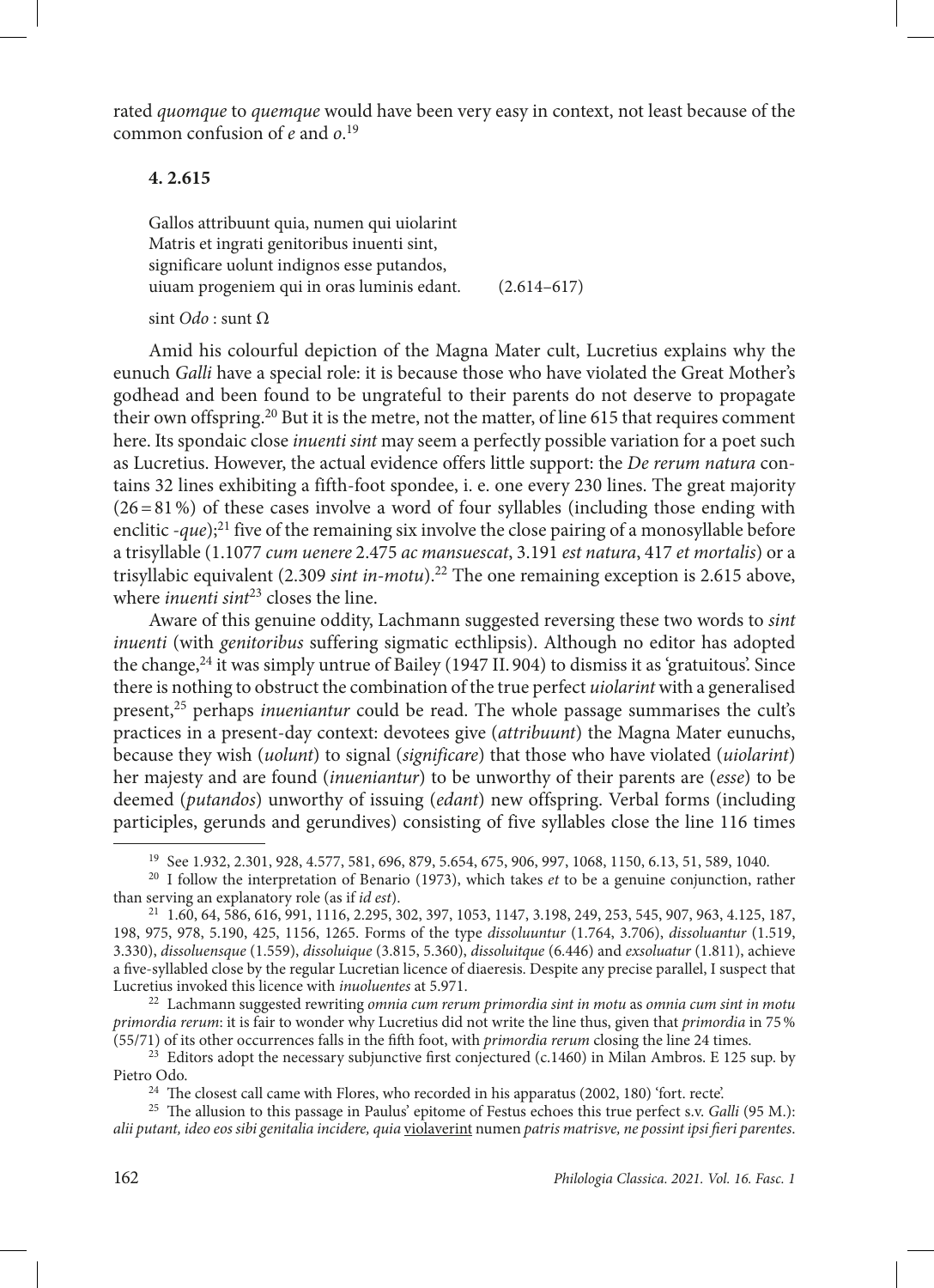rated *quomque* to *quemque* would have been very easy in context, not least because of the common confusion of *e* and *o*. 19

#### **4. 2.615**

Gallos attribuunt quia, numen qui uiolarint Matris et ingrati genitoribus inuenti sint, significare uolunt indignos esse putandos, uiuam progeniem qui in oras luminis edant. (2.614–617)

sint *Odo* : sunt Ω

Amid his colourful depiction of the Magna Mater cult, Lucretius explains why the eunuch *Galli* have a special role: it is because those who have violated the Great Mother's godhead and been found to be ungrateful to their parents do not deserve to propagate their own offspring.20 But it is the metre, not the matter, of line 615 that requires comment here. Its spondaic close *inuenti sint* may seem a perfectly possible variation for a poet such as Lucretius. However, the actual evidence offers little support: the *De rerum natura* contains 32 lines exhibiting a fifth-foot spondee, i. e. one every 230 lines. The great majority  $(26=81\%)$  of these cases involve a word of four syllables (including those ending with enclitic -*que*);<sup>21</sup> five of the remaining six involve the close pairing of a monosyllable before a trisyllable (1.1077 *cum uenere* 2.475 *ac mansuescat*, 3.191 *est natura*, 417 *et mortalis*) or a trisyllabic equivalent (2.309 *sint in-motu*).22 The one remaining exception is 2.615 above, where *inuenti* sint<sup>23</sup> closes the line.

Aware of this genuine oddity, Lachmann suggested reversing these two words to *sint inuenti* (with *genitoribus* suffering sigmatic ecthlipsis). Although no editor has adopted the change,<sup>24</sup> it was simply untrue of Bailey (1947 II. 904) to dismiss it as 'gratuitous'. Since there is nothing to obstruct the combination of the true perfect *uiolarint* with a generalised present,25 perhaps *inueniantur* could be read. The whole passage summarises the cult's practices in a present-day context: devotees give (*attribuunt*) the Magna Mater eunuchs, because they wish (*uolunt*) to signal (*significare*) that those who have violated (*uiolarint*) her majesty and are found (*inueniantur*) to be unworthy of their parents are (*esse*) to be deemed (*putandos*) unworthy of issuing (*edant*) new offspring. Verbal forms (including participles, gerunds and gerundives) consisting of five syllables close the line 116 times

<sup>22</sup> Lachmann suggested rewriting *omnia cum rerum primordia sint in motu* as *omnia cum sint in motu primordia rerum*: it is fair to wonder why Lucretius did not write the line thus, given that *primordia* in 75% (55/71) of its other occurrences falls in the fifth foot, with *primordia rerum* closing the line 24 times.

<sup>23</sup> Editors adopt the necessary subjunctive first conjectured (c.1460) in Milan Ambros. E 125 sup. by Pietro Odo.

<sup>24</sup> The closest call came with Flores, who recorded in his apparatus (2002, 180) 'fort. recte'.

<sup>25</sup> The allusion to this passage in Paulus' epitome of Festus echoes this true perfect s.v. *Galli* (95 M.): *alii putant, ideo eos sibi genitalia incidere, quia* violaverint numen *patris matrisve, ne possint ipsi fieri parentes*.

<sup>19</sup> See 1.932, 2.301, 928, 4.577, 581, 696, 879, 5.654, 675, 906, 997, 1068, 1150, 6.13, 51, 589, 1040.

<sup>20</sup> I follow the interpretation of Benario (1973), which takes *et* to be a genuine conjunction, rather than serving an explanatory role (as if *id est*).

<sup>21</sup> 1.60, 64, 586, 616, 991, 1116, 2.295, 302, 397, 1053, 1147, 3.198, 249, 253, 545, 907, 963, 4.125, 187, 198, 975, 978, 5.190, 425, 1156, 1265. Forms of the type *dissoluuntur* (1.764, 3.706), *dissoluantur* (1.519, 3.330), *dissoluensque* (1.559), *dissoluique* (3.815, 5.360), *dissoluitque* (6.446) and *exsoluatur* (1.811), achieve a five-syllabled close by the regular Lucretian licence of diaeresis. Despite any precise parallel, I suspect that Lucretius invoked this licence with *inuoluentes* at 5.971.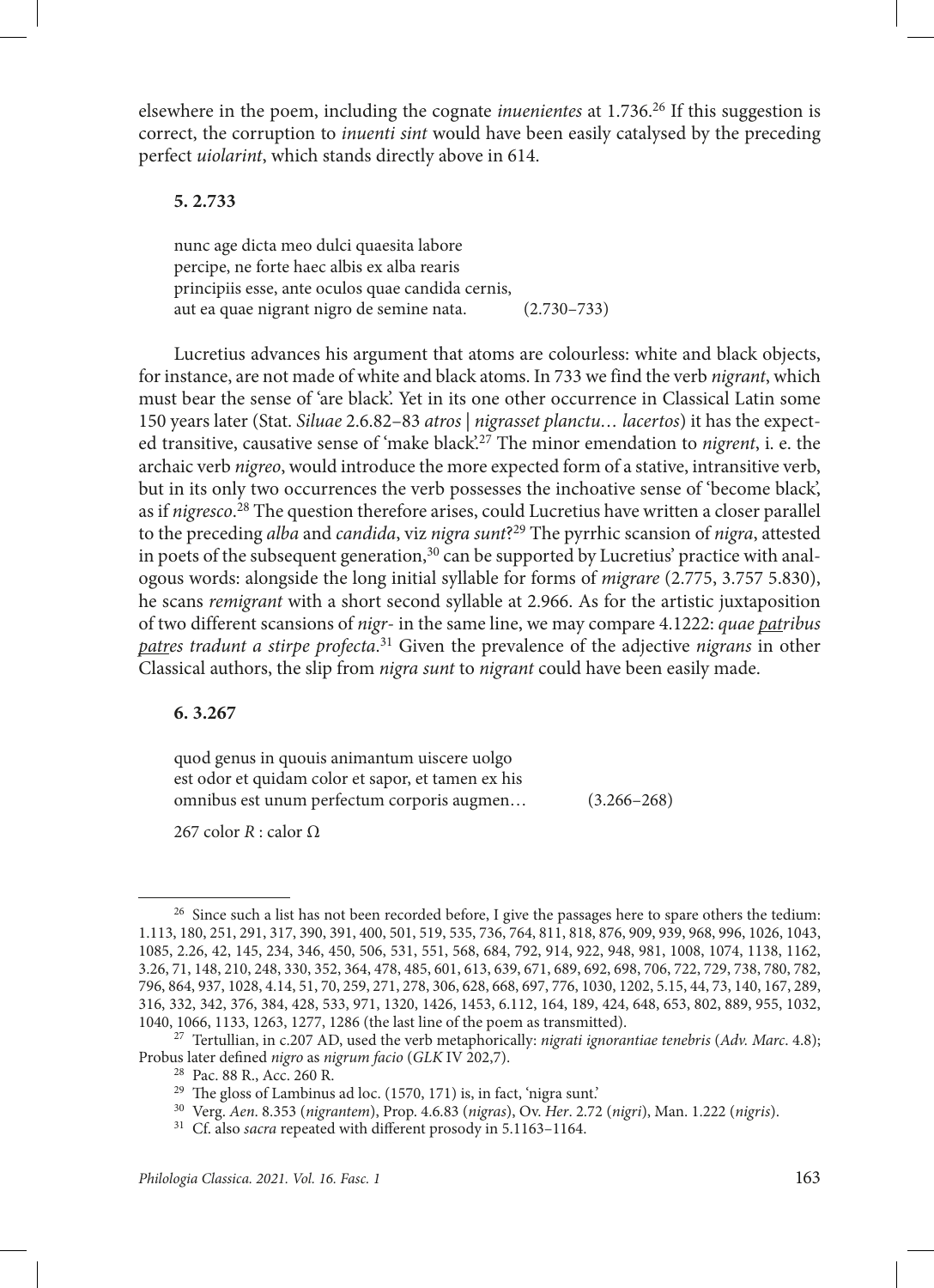elsewhere in the poem, including the cognate *inuenientes* at 1.736.<sup>26</sup> If this suggestion is correct, the corruption to *inuenti sint* would have been easily catalysed by the preceding perfect *uiolarint*, which stands directly above in 614.

#### **5. 2.733**

nunc age dicta meo dulci quaesita labore percipe, ne forte haec albis ex alba rearis principiis esse, ante oculos quae candida cernis, aut ea quae nigrant nigro de semine nata. (2.730–733)

Lucretius advances his argument that atoms are colourless: white and black objects, for instance, are not made of white and black atoms. In 733 we find the verb *nigrant*, which must bear the sense of 'are black'. Yet in its one other occurrence in Classical Latin some 150 years later (Stat. *Siluae* 2.6.82–83 *atros | nigrasset planctu… lacertos*) it has the expected transitive, causative sense of 'make black'.27 The minor emendation to *nigrent*, i. e. the archaic verb *nigreo*, would introduce the more expected form of a stative, intransitive verb, but in its only two occurrences the verb possesses the inchoative sense of 'become black', as if *nigresco*. 28 The question therefore arises, could Lucretius have written a closer parallel to the preceding *alba* and *candida*, viz *nigra sunt*?29 The pyrrhic scansion of *nigra*, attested in poets of the subsequent generation,<sup>30</sup> can be supported by Lucretius' practice with analogous words: alongside the long initial syllable for forms of *migrare* (2.775, 3.757 5.830), he scans *remigrant* with a short second syllable at 2.966. As for the artistic juxtaposition of two different scansions of *nigr*- in the same line, we may compare 4.1222: *quae patribus patres tradunt a stirpe profecta*. 31 Given the prevalence of the adjective *nigrans* in other Classical authors, the slip from *nigra sunt* to *nigrant* could have been easily made.

#### **6. 3.267**

quod genus in quouis animantum uiscere uolgo est odor et quidam color et sapor, et tamen ex his omnibus est unum perfectum corporis augmen… (3.266–268)

267 color  $R$  : calor  $\Omega$ 

<sup>&</sup>lt;sup>26</sup> Since such a list has not been recorded before, I give the passages here to spare others the tedium: 1.113, 180, 251, 291, 317, 390, 391, 400, 501, 519, 535, 736, 764, 811, 818, 876, 909, 939, 968, 996, 1026, 1043, 1085, 2.26, 42, 145, 234, 346, 450, 506, 531, 551, 568, 684, 792, 914, 922, 948, 981, 1008, 1074, 1138, 1162, 3.26, 71, 148, 210, 248, 330, 352, 364, 478, 485, 601, 613, 639, 671, 689, 692, 698, 706, 722, 729, 738, 780, 782, 796, 864, 937, 1028, 4.14, 51, 70, 259, 271, 278, 306, 628, 668, 697, 776, 1030, 1202, 5.15, 44, 73, 140, 167, 289, 316, 332, 342, 376, 384, 428, 533, 971, 1320, 1426, 1453, 6.112, 164, 189, 424, 648, 653, 802, 889, 955, 1032, 1040, 1066, 1133, 1263, 1277, 1286 (the last line of the poem as transmitted).

<sup>27</sup> Tertullian, in c.207 AD, used the verb metaphorically: *nigrati ignorantiae tenebris* (*Adv. Marc*. 4.8); Probus later defined *nigro* as *nigrum facio* (*GLK* IV 202,7).

<sup>28</sup> Pac. 88 R., Acc. 260 R.

<sup>&</sup>lt;sup>29</sup> The gloss of Lambinus ad loc. (1570, 171) is, in fact, 'nigra sunt.'

<sup>30</sup> Verg. *Aen*. 8.353 (*nigrantem*), Prop. 4.6.83 (*nigras*), Ov. *Her*. 2.72 (*nigri*), Man. 1.222 (*nigris*).

<sup>31</sup> Cf. also *sacra* repeated with different prosody in 5.1163–1164.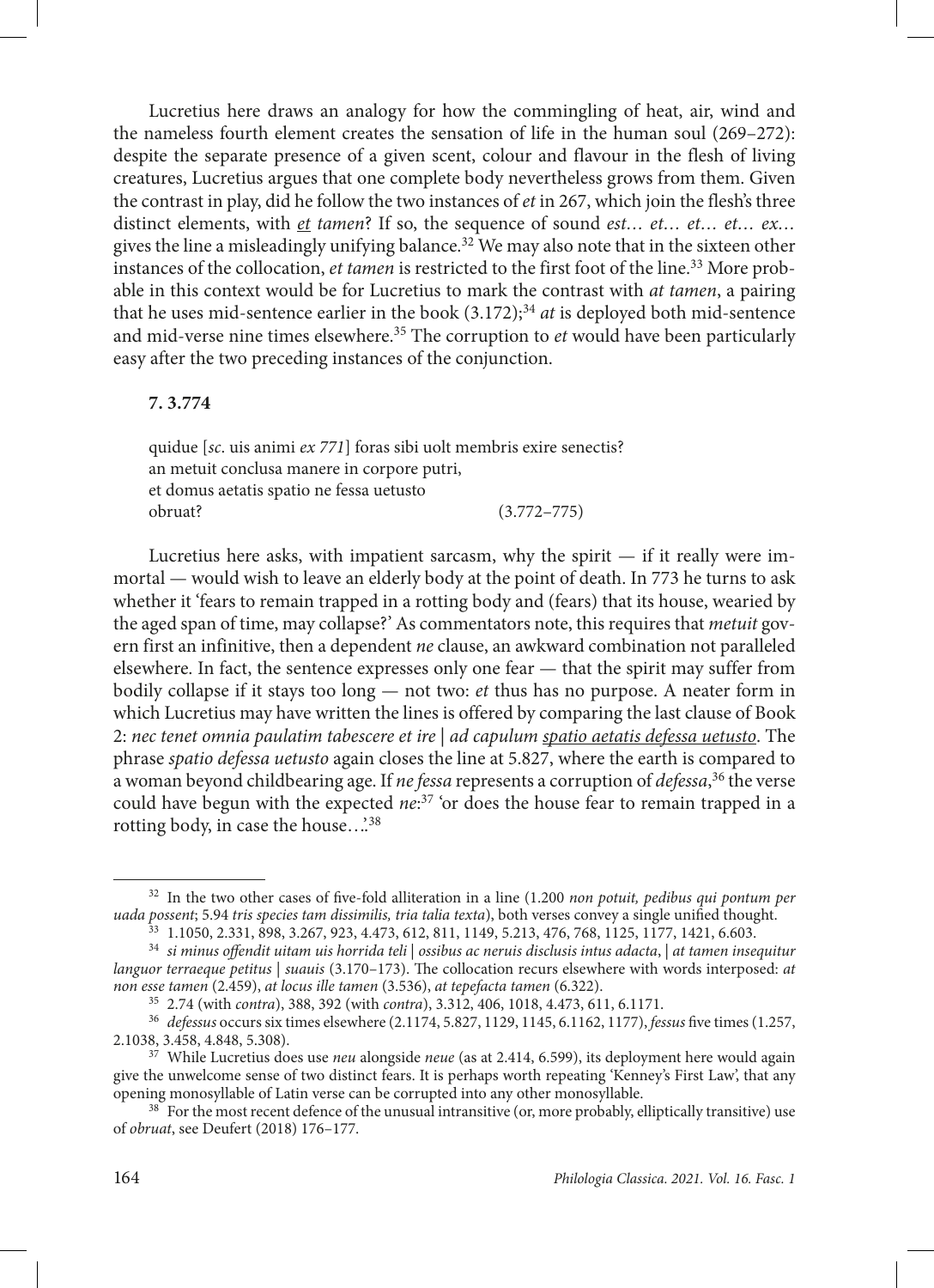Lucretius here draws an analogy for how the commingling of heat, air, wind and the nameless fourth element creates the sensation of life in the human soul (269–272): despite the separate presence of a given scent, colour and flavour in the flesh of living creatures, Lucretius argues that one complete body nevertheless grows from them. Given the contrast in play, did he follow the two instances of *et* in 267, which join the flesh's three distinct elements, with *et tamen*? If so, the sequence of sound *est… et… et… et… ex…* gives the line a misleadingly unifying balance.<sup>32</sup> We may also note that in the sixteen other instances of the collocation, *et tamen* is restricted to the first foot of the line.33 More probable in this context would be for Lucretius to mark the contrast with *at tamen*, a pairing that he uses mid-sentence earlier in the book (3.172);<sup>34</sup> *at* is deployed both mid-sentence and mid-verse nine times elsewhere.<sup>35</sup> The corruption to *et* would have been particularly easy after the two preceding instances of the conjunction.

#### **7. 3.774**

quidue [*sc*. uis animi *ex 771*] foras sibi uolt membris exire senectis? an metuit conclusa manere in corpore putri, et domus aetatis spatio ne fessa uetusto obruat? (3.772–775)

Lucretius here asks, with impatient sarcasm, why the spirit  $-$  if it really were immortal — would wish to leave an elderly body at the point of death. In 773 he turns to ask whether it 'fears to remain trapped in a rotting body and (fears) that its house, wearied by the aged span of time, may collapse?' As commentators note, this requires that *metuit* govern first an infinitive, then a dependent *ne* clause, an awkward combination not paralleled elsewhere. In fact, the sentence expresses only one fear — that the spirit may suffer from bodily collapse if it stays too long — not two: *et* thus has no purpose. A neater form in which Lucretius may have written the lines is offered by comparing the last clause of Book 2: *nec tenet omnia paulatim tabescere et ire* | *ad capulum spatio aetatis defessa uetusto*. The phrase *spatio defessa uetusto* again closes the line at 5.827, where the earth is compared to a woman beyond childbearing age. If *ne fessa* represents a corruption of *defessa*, 36 the verse could have begun with the expected *ne*: 37 'or does the house fear to remain trapped in a rotting body, in case the house...<sup>38</sup>

<sup>32</sup> In the two other cases of five-fold alliteration in a line (1.200 *non potuit, pedibus qui pontum per uada possent*; 5.94 *tris species tam dissimilis, tria talia texta*), both verses convey a single unified thought.

<sup>33</sup> 1.1050, 2.331, 898, 3.267, 923, 4.473, 612, 811, 1149, 5.213, 476, 768, 1125, 1177, 1421, 6.603.

<sup>34</sup> *si minus offendit uitam uis horrida teli* | *ossibus ac neruis disclusis intus adacta*, | *at tamen insequitur languor terraeque petitus* | *suauis* (3.170–173). The collocation recurs elsewhere with words interposed: *at non esse tamen* (2.459), *at locus ille tamen* (3.536), *at tepefacta tamen* (6.322).

<sup>35</sup> 2.74 (with *contra*), 388, 392 (with *contra*), 3.312, 406, 1018, 4.473, 611, 6.1171.

<sup>36</sup> *defessus* occurs six times elsewhere (2.1174, 5.827, 1129, 1145, 6.1162, 1177), *fessus* five times (1.257, 2.1038, 3.458, 4.848, 5.308).

<sup>37</sup> While Lucretius does use *neu* alongside *neue* (as at 2.414, 6.599), its deployment here would again give the unwelcome sense of two distinct fears. It is perhaps worth repeating 'Kenney's First Law', that any opening monosyllable of Latin verse can be corrupted into any other monosyllable.

<sup>&</sup>lt;sup>38</sup> For the most recent defence of the unusual intransitive (or, more probably, elliptically transitive) use of *obruat*, see Deufert (2018) 176–177.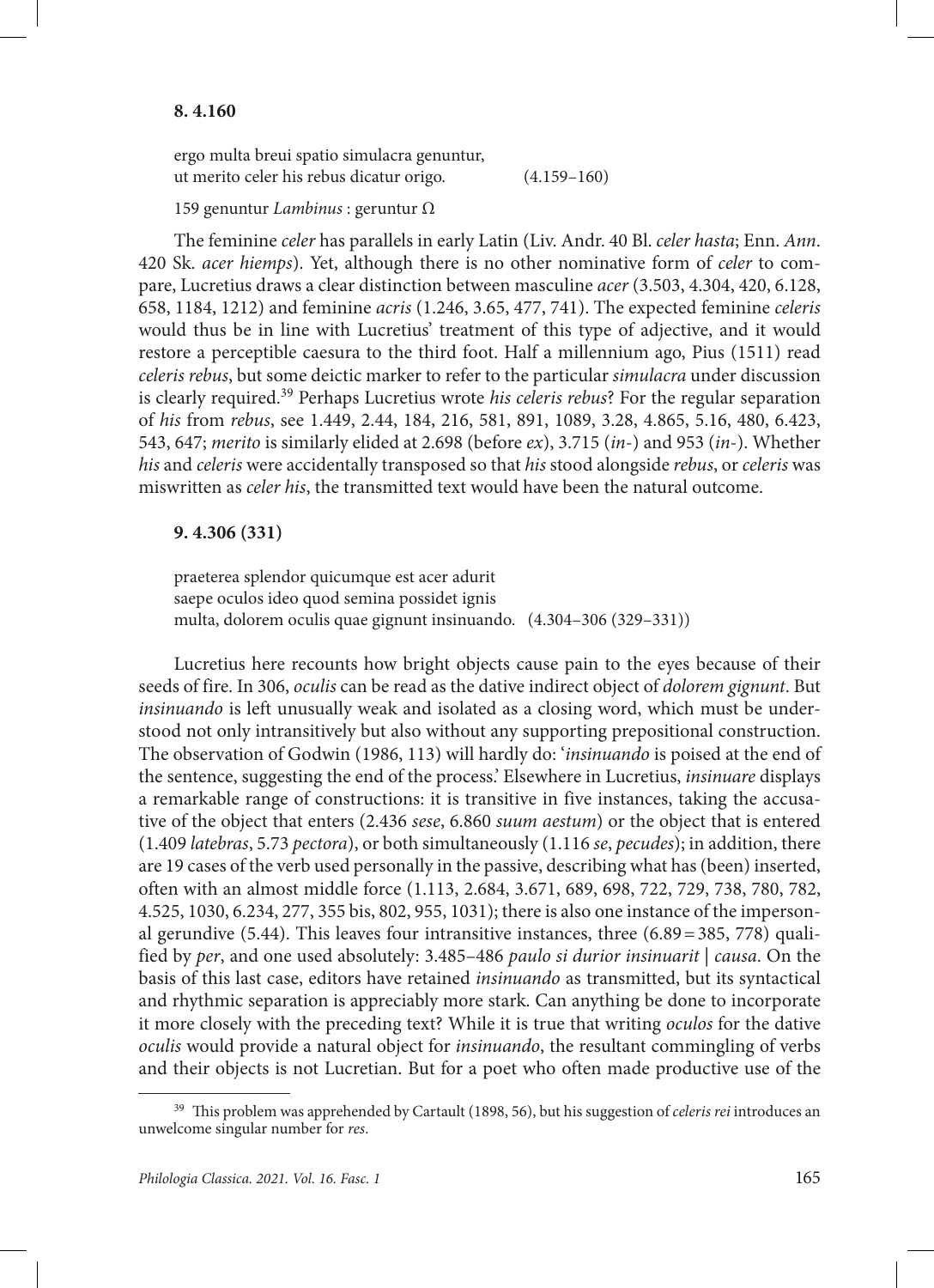ergo multa breui spatio simulacra genuntur, ut merito celer his rebus dicatur origo. (4.159–160)

#### 159 genuntur *Lambinus* : geruntur Ω

The feminine *celer* has parallels in early Latin (Liv. Andr. 40 Bl. *celer hasta*; Enn. *Ann*. 420 Sk. *acer hiemps*). Yet, although there is no other nominative form of *celer* to compare, Lucretius draws a clear distinction between masculine *acer* (3.503, 4.304, 420, 6.128, 658, 1184, 1212) and feminine *acris* (1.246, 3.65, 477, 741). The expected feminine *celeris* would thus be in line with Lucretius' treatment of this type of adjective, and it would restore a perceptible caesura to the third foot. Half a millennium ago, Pius (1511) read *celeris rebus*, but some deictic marker to refer to the particular *simulacra* under discussion is clearly required.39 Perhaps Lucretius wrote *his celeris rebus*? For the regular separation of *his* from *rebus*, see 1.449, 2.44, 184, 216, 581, 891, 1089, 3.28, 4.865, 5.16, 480, 6.423, 543, 647; *merito* is similarly elided at 2.698 (before *ex*), 3.715 (*in*-) and 953 (*in*-). Whether *his* and *celeris* were accidentally transposed so that *his* stood alongside *rebus*, or *celeris* was miswritten as *celer his*, the transmitted text would have been the natural outcome.

#### **9. 4.306 (331)**

praeterea splendor quicumque est acer adurit saepe oculos ideo quod semina possidet ignis multa, dolorem oculis quae gignunt insinuando. (4.304–306 (329–331))

Lucretius here recounts how bright objects cause pain to the eyes because of their seeds of fire. In 306, *oculis* can be read as the dative indirect object of *dolorem gignunt*. But *insinuando* is left unusually weak and isolated as a closing word, which must be understood not only intransitively but also without any supporting prepositional construction. The observation of Godwin (1986, 113) will hardly do: '*insinuando* is poised at the end of the sentence, suggesting the end of the process.' Elsewhere in Lucretius, *insinuare* displays a remarkable range of constructions: it is transitive in five instances, taking the accusative of the object that enters (2.436 *sese*, 6.860 *suum aestum*) or the object that is entered (1.409 *latebras*, 5.73 *pectora*), or both simultaneously (1.116 *se*, *pecudes*); in addition, there are 19 cases of the verb used personally in the passive, describing what has (been) inserted, often with an almost middle force (1.113, 2.684, 3.671, 689, 698, 722, 729, 738, 780, 782, 4.525, 1030, 6.234, 277, 355 bis, 802, 955, 1031); there is also one instance of the impersonal gerundive  $(5.44)$ . This leaves four intransitive instances, three  $(6.89 = 385, 778)$  qualified by *per*, and one used absolutely: 3.485–486 *paulo si durior insinuarit* | *causa*. On the basis of this last case, editors have retained *insinuando* as transmitted, but its syntactical and rhythmic separation is appreciably more stark. Can anything be done to incorporate it more closely with the preceding text? While it is true that writing *oculos* for the dative *oculis* would provide a natural object for *insinuando*, the resultant commingling of verbs and their objects is not Lucretian. But for a poet who often made productive use of the

<sup>39</sup> This problem was apprehended by Cartault (1898, 56), but his suggestion of *celeris rei* introduces an unwelcome singular number for *res*.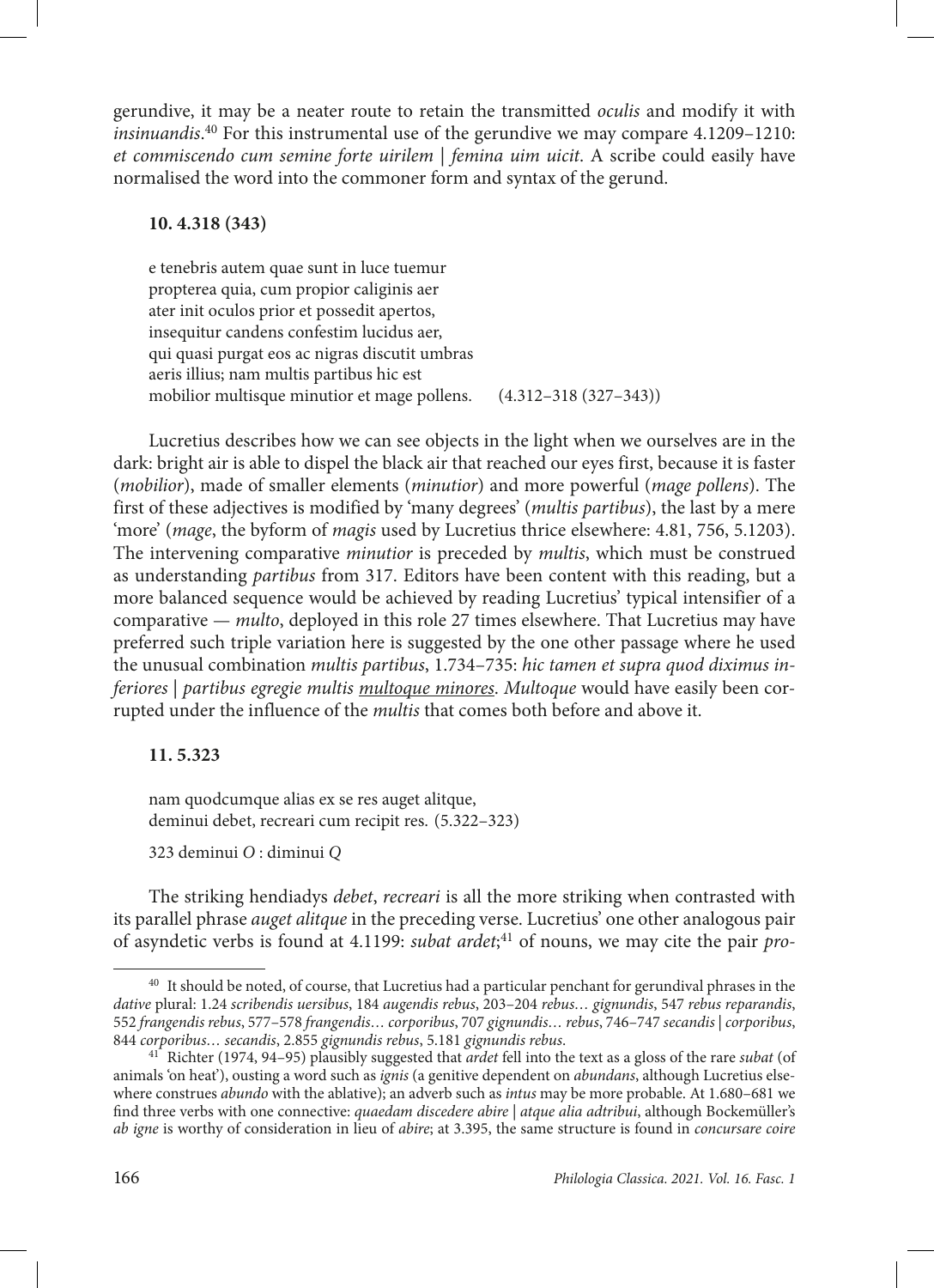gerundive, it may be a neater route to retain the transmitted *oculis* and modify it with *insinuandis*. 40 For this instrumental use of the gerundive we may compare 4.1209–1210: *et commiscendo cum semine forte uirilem* | *femina uim uicit*. A scribe could easily have normalised the word into the commoner form and syntax of the gerund.

### **10. 4.318 (343)**

e tenebris autem quae sunt in luce tuemur propterea quia, cum propior caliginis aer ater init oculos prior et possedit apertos, insequitur candens confestim lucidus aer, qui quasi purgat eos ac nigras discutit umbras aeris illius; nam multis partibus hic est mobilior multisque minutior et mage pollens. (4.312–318 (327–343))

Lucretius describes how we can see objects in the light when we ourselves are in the dark: bright air is able to dispel the black air that reached our eyes first, because it is faster (*mobilior*), made of smaller elements (*minutior*) and more powerful (*mage pollens*). The first of these adjectives is modified by 'many degrees' (*multis partibus*), the last by a mere 'more' (*mage*, the byform of *magis* used by Lucretius thrice elsewhere: 4.81, 756, 5.1203). The intervening comparative *minutior* is preceded by *multis*, which must be construed as understanding *partibus* from 317. Editors have been content with this reading, but a more balanced sequence would be achieved by reading Lucretius' typical intensifier of a comparative — *multo*, deployed in this role 27 times elsewhere. That Lucretius may have preferred such triple variation here is suggested by the one other passage where he used the unusual combination *multis partibus*, 1.734–735: *hic tamen et supra quod diximus inferiores* | *partibus egregie multis multoque minores*. *Multoque* would have easily been corrupted under the influence of the *multis* that comes both before and above it.

# **11. 5.323**

nam quodcumque alias ex se res auget alitque, deminui debet, recreari cum recipit res. (5.322–323)

323 deminui *O* : diminui *Q*

The striking hendiadys *debet*, *recreari* is all the more striking when contrasted with its parallel phrase *auget alitque* in the preceding verse. Lucretius' one other analogous pair of asyndetic verbs is found at 4.1199: *subat ardet*; 41 of nouns, we may cite the pair *pro-*

<sup>40</sup> It should be noted, of course, that Lucretius had a particular penchant for gerundival phrases in the *dative* plural: 1.24 *scribendis uersibus*, 184 *augendis rebus*, 203–204 *rebus… gignundis*, 547 *rebus reparandis*, 552 *frangendis rebus*, 577–578 *frangendis… corporibus*, 707 *gignundis… rebus*, 746–747 *secandis* |*corporibus*, 844 *corporibus… secandis*, 2.855 *gignundis rebus*, 5.181 *gignundis rebus*.

<sup>41</sup> Richter (1974, 94–95) plausibly suggested that *ardet* fell into the text as a gloss of the rare *subat* (of animals 'on heat'), ousting a word such as *ignis* (a genitive dependent on *abundans*, although Lucretius elsewhere construes *abundo* with the ablative); an adverb such as *intus* may be more probable. At 1.680–681 we find three verbs with one connective: *quaedam discedere abire | atque alia adtribui*, although Bockemüller's *ab igne* is worthy of consideration in lieu of *abire*; at 3.395, the same structure is found in *concursare coire*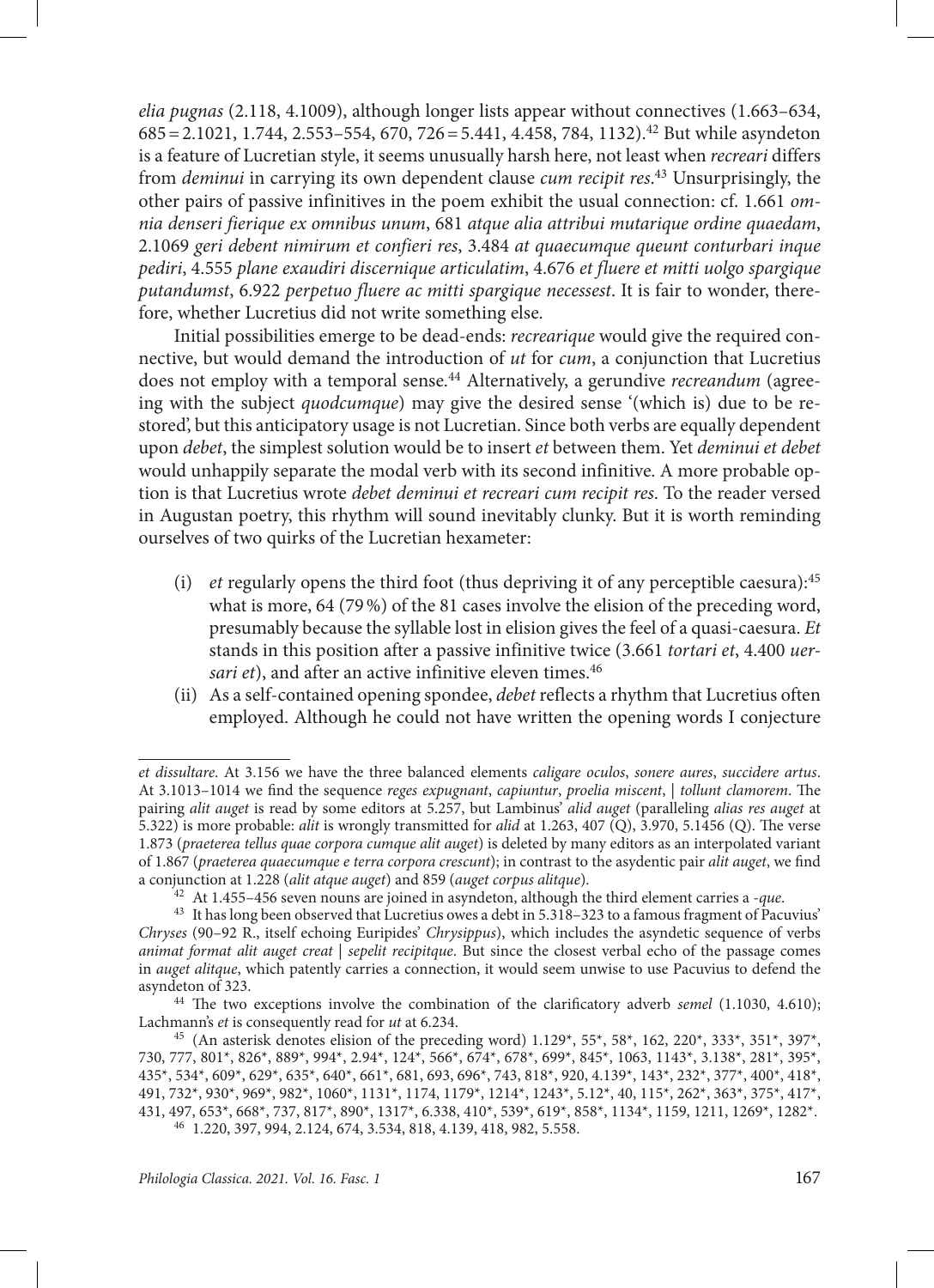*elia pugnas* (2.118, 4.1009), although longer lists appear without connectives (1.663–634, 685=2.1021, 1.744, 2.553–554, 670, 726=5.441, 4.458, 784, 1132).42 But while asyndeton is a feature of Lucretian style, it seems unusually harsh here, not least when *recreari* differs from *deminui* in carrying its own dependent clause *cum recipit res*. <sup>43</sup> Unsurprisingly, the other pairs of passive infinitives in the poem exhibit the usual connection: cf. 1.661 *omnia denseri fierique ex omnibus unum*, 681 *atque alia attribui mutarique ordine quaedam*, 2.1069 *geri debent nimirum et confieri res*, 3.484 *at quaecumque queunt conturbari inque pediri*, 4.555 *plane exaudiri discernique articulatim*, 4.676 *et fluere et mitti uolgo spargique putandumst*, 6.922 *perpetuo fluere ac mitti spargique necessest*. It is fair to wonder, therefore, whether Lucretius did not write something else.

Initial possibilities emerge to be dead-ends: *recrearique* would give the required connective, but would demand the introduction of *ut* for *cum*, a conjunction that Lucretius does not employ with a temporal sense.44 Alternatively, a gerundive *recreandum* (agreeing with the subject *quodcumque*) may give the desired sense '(which is) due to be restored', but this anticipatory usage is not Lucretian. Since both verbs are equally dependent upon *debet*, the simplest solution would be to insert *et* between them. Yet *deminui et debet* would unhappily separate the modal verb with its second infinitive. A more probable option is that Lucretius wrote *debet deminui et recreari cum recipit res*. To the reader versed in Augustan poetry, this rhythm will sound inevitably clunky. But it is worth reminding ourselves of two quirks of the Lucretian hexameter:

- (i) *et* regularly opens the third foot (thus depriving it of any perceptible caesura):45 what is more, 64 (79%) of the 81 cases involve the elision of the preceding word, presumably because the syllable lost in elision gives the feel of a quasi-caesura. *Et* stands in this position after a passive infinitive twice (3.661 *tortari et*, 4.400 *uersari et*), and after an active infinitive eleven times.<sup>46</sup>
- (ii) As a self-contained opening spondee, *debet* reflects a rhythm that Lucretius often employed. Although he could not have written the opening words I conjecture

*et dissultare*. At 3.156 we have the three balanced elements *caligare oculos*, *sonere aures*, *succidere artus*. At 3.1013–1014 we find the sequence *reges expugnant*, *capiuntur*, *proelia miscent*, | *tollunt clamorem*. The pairing *alit auget* is read by some editors at 5.257, but Lambinus' *alid auget* (paralleling *alias res auget* at 5.322) is more probable: *alit* is wrongly transmitted for *alid* at 1.263, 407 (Q), 3.970, 5.1456 (Q). The verse 1.873 (*praeterea tellus quae corpora cumque alit auget*) is deleted by many editors as an interpolated variant of 1.867 (*praeterea quaecumque e terra corpora crescunt*); in contrast to the asydentic pair *alit auget*, we find a conjunction at 1.228 (*alit atque auget*) and 859 (*auget corpus alitque*).

<sup>42</sup> At 1.455–456 seven nouns are joined in asyndeton, although the third element carries a -*que*.

<sup>43</sup> It has long been observed that Lucretius owes a debt in 5.318–323 to a famous fragment of Pacuvius' *Chryses* (90–92 R., itself echoing Euripides' *Chrysippus*), which includes the asyndetic sequence of verbs *animat format alit auget creat* | *sepelit recipitque*. But since the closest verbal echo of the passage comes in *auget alitque*, which patently carries a connection, it would seem unwise to use Pacuvius to defend the asyndeton of 323.

<sup>44</sup> The two exceptions involve the combination of the clarificatory adverb *semel* (1.1030, 4.610); Lachmann's *et* is consequently read for *ut* at 6.234.

<sup>45</sup> (An asterisk denotes elision of the preceding word) 1.129\*, 55\*, 58\*, 162, 220\*, 333\*, 351\*, 397\*, 730, 777, 801\*, 826\*, 889\*, 994\*, 2.94\*, 124\*, 566\*, 674\*, 678\*, 699\*, 845\*, 1063, 1143\*, 3.138\*, 281\*, 395\*, 435\*, 534\*, 609\*, 629\*, 635\*, 640\*, 661\*, 681, 693, 696\*, 743, 818\*, 920, 4.139\*, 143\*, 232\*, 377\*, 400\*, 418\*, 491, 732\*, 930\*, 969\*, 982\*, 1060\*, 1131\*, 1174, 1179\*, 1214\*, 1243\*, 5.12\*, 40, 115\*, 262\*, 363\*, 375\*, 417\*, 431, 497, 653\*, 668\*, 737, 817\*, 890\*, 1317\*, 6.338, 410\*, 539\*, 619\*, 858\*, 1134\*, 1159, 1211, 1269\*, 1282\*. <sup>46</sup> 1.220, 397, 994, 2.124, 674, 3.534, 818, 4.139, 418, 982, 5.558.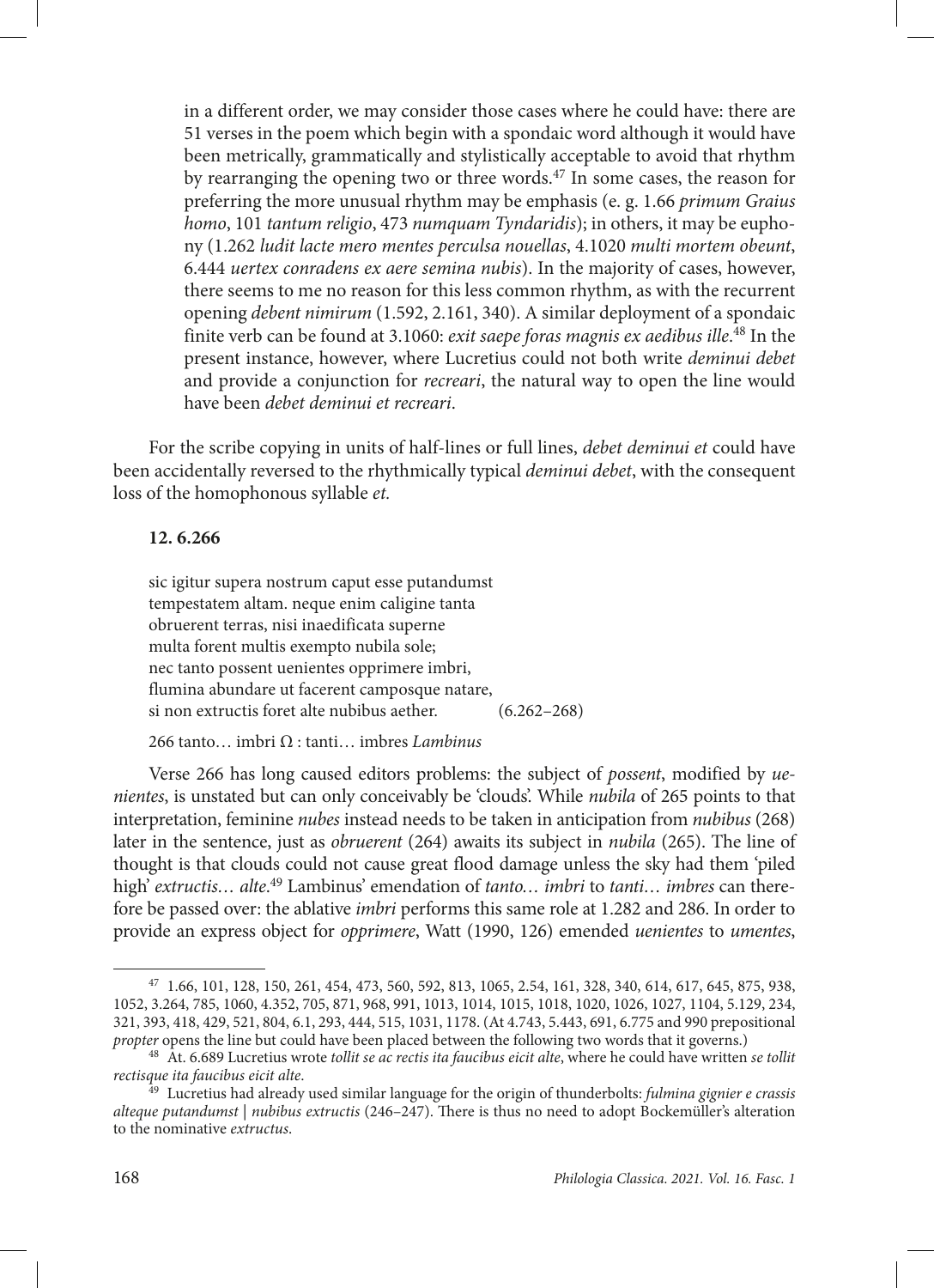in a different order, we may consider those cases where he could have: there are 51 verses in the poem which begin with a spondaic word although it would have been metrically, grammatically and stylistically acceptable to avoid that rhythm by rearranging the opening two or three words.47 In some cases, the reason for preferring the more unusual rhythm may be emphasis (e. g. 1.66 *primum Graius homo*, 101 *tantum religio*, 473 *numquam Tyndaridis*); in others, it may be euphony (1.262 *ludit lacte mero mentes perculsa nouellas*, 4.1020 *multi mortem obeunt*, 6.444 *uertex conradens ex aere semina nubis*). In the majority of cases, however, there seems to me no reason for this less common rhythm, as with the recurrent opening *debent nimirum* (1.592, 2.161, 340). A similar deployment of a spondaic finite verb can be found at 3.1060: *exit saepe foras magnis ex aedibus ille*. 48 In the present instance, however, where Lucretius could not both write *deminui debet* and provide a conjunction for *recreari*, the natural way to open the line would have been *debet deminui et recreari*.

For the scribe copying in units of half-lines or full lines, *debet deminui et* could have been accidentally reversed to the rhythmically typical *deminui debet*, with the consequent loss of the homophonous syllable *et.*

#### **12. 6.266**

sic igitur supera nostrum caput esse putandumst tempestatem altam. neque enim caligine tanta obruerent terras, nisi inaedificata superne multa forent multis exempto nubila sole; nec tanto possent uenientes opprimere imbri, flumina abundare ut facerent camposque natare, si non extructis foret alte nubibus aether. (6.262–268)

266 tanto… imbri Ω : tanti… imbres *Lambinus*

Verse 266 has long caused editors problems: the subject of *possent*, modified by *uenientes*, is unstated but can only conceivably be 'clouds'. While *nubila* of 265 points to that interpretation, feminine *nubes* instead needs to be taken in anticipation from *nubibus* (268) later in the sentence, just as *obruerent* (264) awaits its subject in *nubila* (265). The line of thought is that clouds could not cause great flood damage unless the sky had them 'piled high' *extructis… alte*. 49 Lambinus' emendation of *tanto… imbri* to *tanti… imbres* can therefore be passed over: the ablative *imbri* performs this same role at 1.282 and 286. In order to provide an express object for *opprimere*, Watt (1990, 126) emended *uenientes* to *umentes*,

<sup>47</sup> 1.66, 101, 128, 150, 261, 454, 473, 560, 592, 813, 1065, 2.54, 161, 328, 340, 614, 617, 645, 875, 938, 1052, 3.264, 785, 1060, 4.352, 705, 871, 968, 991, 1013, 1014, 1015, 1018, 1020, 1026, 1027, 1104, 5.129, 234, 321, 393, 418, 429, 521, 804, 6.1, 293, 444, 515, 1031, 1178. (At 4.743, 5.443, 691, 6.775 and 990 prepositional *propter* opens the line but could have been placed between the following two words that it governs.)

<sup>48</sup> At. 6.689 Lucretius wrote *tollit se ac rectis ita faucibus eicit alte*, where he could have written *se tollit rectisque ita faucibus eicit alte*.

<sup>49</sup> Lucretius had already used similar language for the origin of thunderbolts: *fulmina gignier e crassis alteque putandumst* | *nubibus extructis* (246–247). There is thus no need to adopt Bockemüller's alteration to the nominative *extructus*.